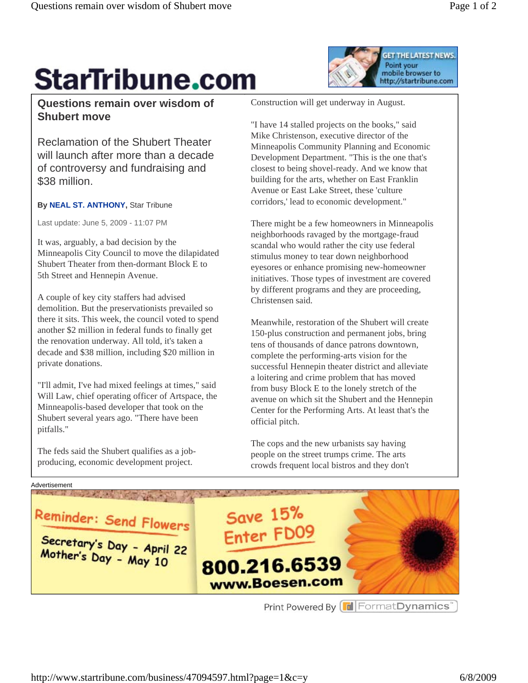

## **StarTribune.com**

## **Questions remain over wisdom of Shubert move**

Reclamation of the Shubert Theater will launch after more than a decade of controversy and fundraising and \$38 million.

## **By NEAL ST. ANTHONY, Star Tribune**

Last update: June 5, 2009 - 11:07 PM

It was, arguably, a bad decision by the Minneapolis City Council to move the dilapidated Shubert Theater from then-dormant Block E to 5th Street and Hennepin Avenue.

A couple of key city staffers had advised demolition. But the preservationists prevailed so there it sits. This week, the council voted to spend another \$2 million in federal funds to finally get the renovation underway. All told, it's taken a decade and \$38 million, including \$20 million in private donations.

"I'll admit, I've had mixed feelings at times," said Will Law, chief operating officer of Artspace, the Minneapolis-based developer that took on the Shubert several years ago. "There have been pitfalls."

The feds said the Shubert qualifies as a jobproducing, economic development project.

Construction will get underway in August.

"I have 14 stalled projects on the books," said Mike Christenson, executive director of the Minneapolis Community Planning and Economic Development Department. "This is the one that's closest to being shovel-ready. And we know that building for the arts, whether on East Franklin Avenue or East Lake Street, these 'culture corridors,' lead to economic development."

There might be a few homeowners in Minneapolis neighborhoods ravaged by the mortgage-fraud scandal who would rather the city use federal stimulus money to tear down neighborhood eyesores or enhance promising new-homeowner initiatives. Those types of investment are covered by different programs and they are proceeding, Christensen said.

Meanwhile, restoration of the Shubert will create 150-plus construction and permanent jobs, bring tens of thousands of dance patrons downtown, complete the performing-arts vision for the successful Hennepin theater district and alleviate a loitering and crime problem that has moved from busy Block E to the lonely stretch of the avenue on which sit the Shubert and the Hennepin Center for the Performing Arts. At least that's the official pitch.

The cops and the new urbanists say having people on the street trumps crime. The arts crowds frequent local bistros and they don't